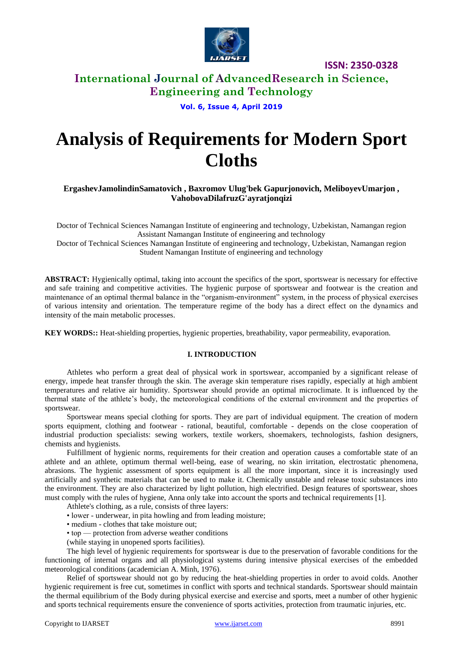

## **International Journal of AdvancedResearch in Science, Engineering and Technology**

#### **Vol. 6, Issue 4, April 2019**

# **Analysis of Requirements for Modern Sport Cloths**

## **ErgashevJamolindinSamatovich , Baxromov Ulug'bek Gapurjonovich, MeliboyevUmarjon , VahobovaDilafruzG'ayratjonqizi**

Doctor of Technical Sciences Namangan Institute of engineering and technology, Uzbekistan, Namangan region Assistant Namangan Institute of engineering and technology

Doctor of Technical Sciences Namangan Institute of engineering and technology, Uzbekistan, Namangan region Student Namangan Institute of engineering and technology

**ABSTRACT:** Hygienically optimal, taking into account the specifics of the sport, sportswear is necessary for effective and safe training and competitive activities. The hygienic purpose of sportswear and footwear is the creation and maintenance of an optimal thermal balance in the "organism-environment" system, in the process of physical exercises of various intensity and orientation. The temperature regime of the body has a direct effect on the dynamics and intensity of the main metabolic processes.

**KEY WORDS::** Heat-shielding properties, hygienic properties, breathability, vapor permeability, evaporation.

## **I. INTRODUCTION**

Athletes who perform a great deal of physical work in sportswear, accompanied by a significant release of energy, impede heat transfer through the skin. The average skin temperature rises rapidly, especially at high ambient temperatures and relative air humidity. Sportswear should provide an optimal microclimate. It is influenced by the thermal state of the athlete's body, the meteorological conditions of the external environment and the properties of sportswear.

Sportswear means special clothing for sports. They are part of individual equipment. The creation of modern sports equipment, clothing and footwear - rational, beautiful, comfortable - depends on the close cooperation of industrial production specialists: sewing workers, textile workers, shoemakers, technologists, fashion designers, chemists and hygienists.

Fulfillment of hygienic norms, requirements for their creation and operation causes a comfortable state of an athlete and an athlete, optimum thermal well-being, ease of wearing, no skin irritation, electrostatic phenomena, abrasions. The hygienic assessment of sports equipment is all the more important, since it is increasingly used artificially and synthetic materials that can be used to make it. Chemically unstable and release toxic substances into the environment. They are also characterized by light pollution, high electrified. Design features of sportswear, shoes must comply with the rules of hygiene, Anna only take into account the sports and technical requirements [1].

Athlete's clothing, as a rule, consists of three layers:

• lower - underwear, in pita howling and from leading moisture;

- medium clothes that take moisture out:
- top protection from adverse weather conditions
- (while staying in unopened sports facilities).

The high level of hygienic requirements for sportswear is due to the preservation of favorable conditions for the functioning of internal organs and all physiological systems during intensive physical exercises of the embedded meteorological conditions (academician A. Minh, 1976).

Relief of sportswear should not go by reducing the heat-shielding properties in order to avoid colds. Another hygienic requirement is free cut, sometimes in conflict with sports and technical standards. Sportswear should maintain the thermal equilibrium of the Body during physical exercise and exercise and sports, meet a number of other hygienic and sports technical requirements ensure the convenience of sports activities, protection from traumatic injuries, etc.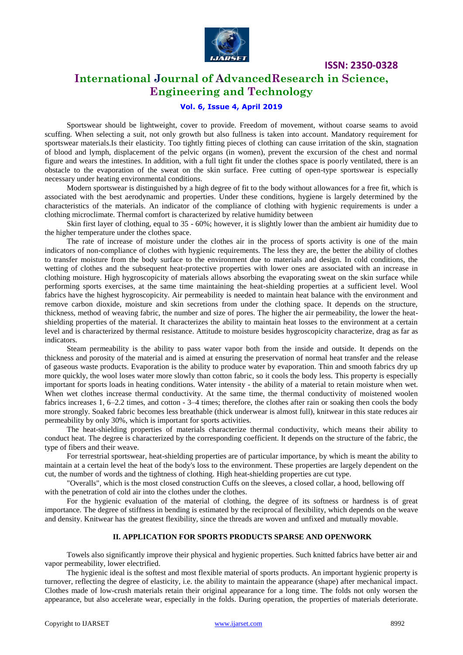

## **International Journal of AdvancedResearch in Science, Engineering and Technology**

### **Vol. 6, Issue 4, April 2019**

Sportswear should be lightweight, cover to provide. Freedom of movement, without coarse seams to avoid scuffing. When selecting a suit, not only growth but also fullness is taken into account. Mandatory requirement for sportswear materials.Is their elasticity. Too tightly fitting pieces of clothing can cause irritation of the skin, stagnation of blood and lymph, displacement of the pelvic organs (in women), prevent the excursion of the chest and normal figure and wears the intestines. In addition, with a full tight fit under the clothes space is poorly ventilated, there is an obstacle to the evaporation of the sweat on the skin surface. Free cutting of open-type sportswear is especially necessary under heating environmental conditions.

Modern sportswear is distinguished by a high degree of fit to the body without allowances for a free fit, which is associated with the best aerodynamic and properties. Under these conditions, hygiene is largely determined by the characteristics of the materials. An indicator of the compliance of clothing with hygienic requirements is under a clothing microclimate. Thermal comfort is characterized by relative humidity between

Skin first layer of clothing, equal to 35 - 60%; however, it is slightly lower than the ambient air humidity due to the higher temperature under the clothes space.

The rate of increase of moisture under the clothes air in the process of sports activity is one of the main indicators of non-compliance of clothes with hygienic requirements. The less they are, the better the ability of clothes to transfer moisture from the body surface to the environment due to materials and design. In cold conditions, the wetting of clothes and the subsequent heat-protective properties with lower ones are associated with an increase in clothing moisture. High hygroscopicity of materials allows absorbing the evaporating sweat on the skin surface while performing sports exercises, at the same time maintaining the heat-shielding properties at a sufficient level. Wool fabrics have the highest hygroscopicity. Air permeability is needed to maintain heat balance with the environment and remove carbon dioxide, moisture and skin secretions from under the clothing space. It depends on the structure, thickness, method of weaving fabric, the number and size of pores. The higher the air permeability, the lower the heatshielding properties of the material. It characterizes the ability to maintain heat losses to the environment at a certain level and is characterized by thermal resistance. Attitude to moisture besides hygroscopicity characterize, drag as far as indicators.

Steam permeability is the ability to pass water vapor both from the inside and outside. It depends on the thickness and porosity of the material and is aimed at ensuring the preservation of normal heat transfer and the release of gaseous waste products. Evaporation is the ability to produce water by evaporation. Thin and smooth fabrics dry up more quickly, the wool loses water more slowly than cotton fabric, so it cools the body less. This property is especially important for sports loads in heating conditions. Water intensity - the ability of a material to retain moisture when wet. When wet clothes increase thermal conductivity. At the same time, the thermal conductivity of moistened woolen fabrics increases 1, 6–2.2 times, and cotton - 3–4 times; therefore, the clothes after rain or soaking then cools the body more strongly. Soaked fabric becomes less breathable (thick underwear is almost full), knitwear in this state reduces air permeability by only 30%, which is important for sports activities.

The heat-shielding properties of materials characterize thermal conductivity, which means their ability to conduct heat. The degree is characterized by the corresponding coefficient. It depends on the structure of the fabric, the type of fibers and their weave.

For terrestrial sportswear, heat-shielding properties are of particular importance, by which is meant the ability to maintain at a certain level the heat of the body's loss to the environment. These properties are largely dependent on the cut, the number of words and the tightness of clothing. High heat-shielding properties are cut type.

"Overalls", which is the most closed construction Cuffs on the sleeves, a closed collar, a hood, bellowing off with the penetration of cold air into the clothes under the clothes.

For the hygienic evaluation of the material of clothing, the degree of its softness or hardness is of great importance. The degree of stiffness in bending is estimated by the reciprocal of flexibility, which depends on the weave and density. Knitwear has the greatest flexibility, since the threads are woven and unfixed and mutually movable.

#### **II. APPLICATION FOR SPORTS PRODUCTS SPARSE AND OPENWORK**

Towels also significantly improve their physical and hygienic properties. Such knitted fabrics have better air and vapor permeability, lower electrified.

The hygienic ideal is the softest and most flexible material of sports products. An important hygienic property is turnover, reflecting the degree of elasticity, i.e. the ability to maintain the appearance (shape) after mechanical impact. Clothes made of low-crush materials retain their original appearance for a long time. The folds not only worsen the appearance, but also accelerate wear, especially in the folds. During operation, the properties of materials deteriorate.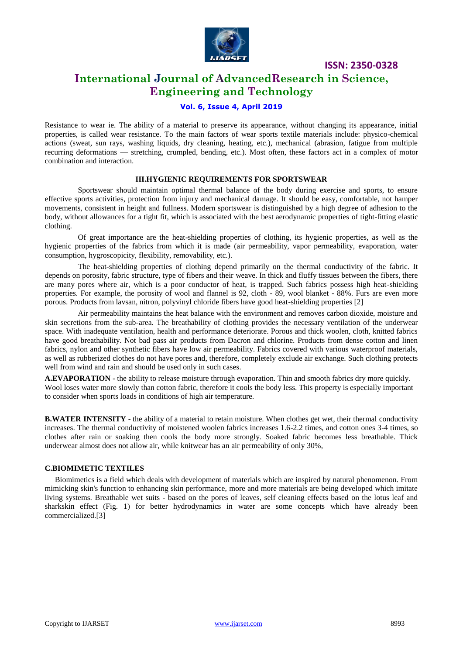

# **International Journal of AdvancedResearch in Science, Engineering and Technology**

## **Vol. 6, Issue 4, April 2019**

Resistance to wear ie. The ability of a material to preserve its appearance, without changing its appearance, initial properties, is called wear resistance. To the main factors of wear sports textile materials include: physico-chemical actions (sweat, sun rays, washing liquids, dry cleaning, heating, etc.), mechanical (abrasion, fatigue from multiple recurring deformations — stretching, crumpled, bending, etc.). Most often, these factors act in a complex of motor combination and interaction.

#### **III.HYGIENIC REQUIREMENTS FOR SPORTSWEAR**

Sportswear should maintain optimal thermal balance of the body during exercise and sports, to ensure effective sports activities, protection from injury and mechanical damage. It should be easy, comfortable, not hamper movements, consistent in height and fullness. Modern sportswear is distinguished by a high degree of adhesion to the body, without allowances for a tight fit, which is associated with the best aerodynamic properties of tight-fitting elastic clothing.

Of great importance are the heat-shielding properties of clothing, its hygienic properties, as well as the hygienic properties of the fabrics from which it is made (air permeability, vapor permeability, evaporation, water consumption, hygroscopicity, flexibility, removability, etc.).

The heat-shielding properties of clothing depend primarily on the thermal conductivity of the fabric. It depends on porosity, fabric structure, type of fibers and their weave. In thick and fluffy tissues between the fibers, there are many pores where air, which is a poor conductor of heat, is trapped. Such fabrics possess high heat-shielding properties. For example, the porosity of wool and flannel is 92, cloth - 89, wool blanket - 88%. Furs are even more porous. Products from lavsan, nitron, polyvinyl chloride fibers have good heat-shielding properties [2]

Air permeability maintains the heat balance with the environment and removes carbon dioxide, moisture and skin secretions from the sub-area. The breathability of clothing provides the necessary ventilation of the underwear space. With inadequate ventilation, health and performance deteriorate. Porous and thick woolen, cloth, knitted fabrics have good breathability. Not bad pass air products from Dacron and chlorine. Products from dense cotton and linen fabrics, nylon and other synthetic fibers have low air permeability. Fabrics covered with various waterproof materials, as well as rubberized clothes do not have pores and, therefore, completely exclude air exchange. Such clothing protects well from wind and rain and should be used only in such cases.

**A.EVAPORATION** - the ability to release moisture through evaporation. Thin and smooth fabrics dry more quickly. Wool loses water more slowly than cotton fabric, therefore it cools the body less. This property is especially important to consider when sports loads in conditions of high air temperature.

**B.WATER INTENSITY** - the ability of a material to retain moisture. When clothes get wet, their thermal conductivity increases. The thermal conductivity of moistened woolen fabrics increases 1.6-2.2 times, and cotton ones 3-4 times, so clothes after rain or soaking then cools the body more strongly. Soaked fabric becomes less breathable. Thick underwear almost does not allow air, while knitwear has an air permeability of only 30%,

#### **C.BIOMIMETIC TEXTILES**

Biomimetics is a field which deals with development of materials which are inspired by natural phenomenon. From mimicking skin's function to enhancing skin performance, more and more materials are being developed which imitate living systems. Breathable wet suits - based on the pores of leaves, self cleaning effects based on the lotus leaf and sharkskin effect (Fig. 1) for better hydrodynamics in water are some concepts which have already been commercialized.[3]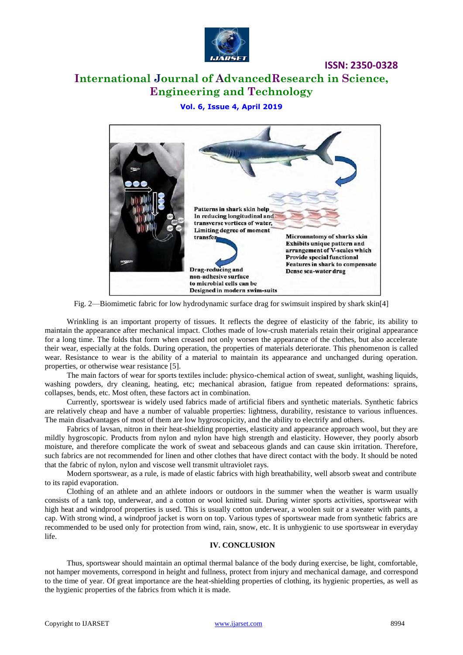

# **International Journal of AdvancedResearch in Science, Engineering and Technology**

## **Vol. 6, Issue 4, April 2019**



Fig. 2—Biomimetic fabric for low hydrodynamic surface drag for swimsuit inspired by shark skin[4]

Wrinkling is an important property of tissues. It reflects the degree of elasticity of the fabric, its ability to maintain the appearance after mechanical impact. Clothes made of low-crush materials retain their original appearance for a long time. The folds that form when creased not only worsen the appearance of the clothes, but also accelerate their wear, especially at the folds. During operation, the properties of materials deteriorate. This phenomenon is called wear. Resistance to wear is the ability of a material to maintain its appearance and unchanged during operation. properties, or otherwise wear resistance [5].

The main factors of wear for sports textiles include: physico-chemical action of sweat, sunlight, washing liquids, washing powders, dry cleaning, heating, etc; mechanical abrasion, fatigue from repeated deformations: sprains, collapses, bends, etc. Most often, these factors act in combination.

Currently, sportswear is widely used fabrics made of artificial fibers and synthetic materials. Synthetic fabrics are relatively cheap and have a number of valuable properties: lightness, durability, resistance to various influences. The main disadvantages of most of them are low hygroscopicity, and the ability to electrify and others.

Fabrics of lavsan, nitron in their heat-shielding properties, elasticity and appearance approach wool, but they are mildly hygroscopic. Products from nylon and nylon have high strength and elasticity. However, they poorly absorb moisture, and therefore complicate the work of sweat and sebaceous glands and can cause skin irritation. Therefore, such fabrics are not recommended for linen and other clothes that have direct contact with the body. It should be noted that the fabric of nylon, nylon and viscose well transmit ultraviolet rays.

Modern sportswear, as a rule, is made of elastic fabrics with high breathability, well absorb sweat and contribute to its rapid evaporation.

Clothing of an athlete and an athlete indoors or outdoors in the summer when the weather is warm usually consists of a tank top, underwear, and a cotton or wool knitted suit. During winter sports activities, sportswear with high heat and windproof properties is used. This is usually cotton underwear, a woolen suit or a sweater with pants, a cap. With strong wind, a windproof jacket is worn on top. Various types of sportswear made from synthetic fabrics are recommended to be used only for protection from wind, rain, snow, etc. It is unhygienic to use sportswear in everyday life.

#### **IV. CONCLUSION**

Thus, sportswear should maintain an optimal thermal balance of the body during exercise, be light, comfortable, not hamper movements, correspond in height and fullness, protect from injury and mechanical damage, and correspond to the time of year. Of great importance are the heat-shielding properties of clothing, its hygienic properties, as well as the hygienic properties of the fabrics from which it is made.